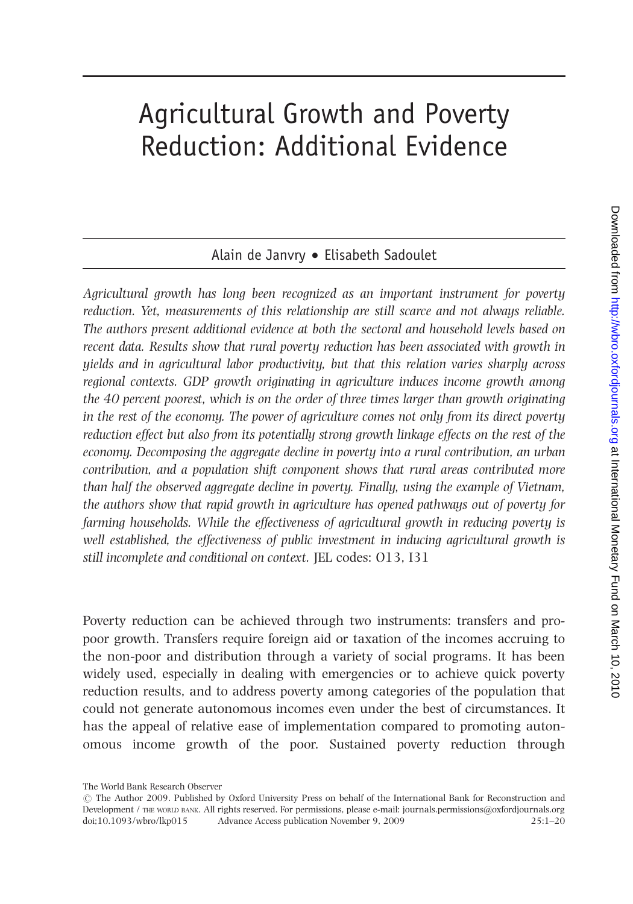# Agricultural Growth and Poverty Reduction: Additional Evidence

#### Alain de Janvry · Elisabeth Sadoulet

Agricultural growth has long been recognized as an important instrument for poverty reduction. Yet, measurements of this relationship are still scarce and not always reliable. The authors present additional evidence at both the sectoral and household levels based on recent data. Results show that rural poverty reduction has been associated with growth in yields and in agricultural labor productivity, but that this relation varies sharply across regional contexts. GDP growth originating in agriculture induces income growth among the 40 percent poorest, which is on the order of three times larger than growth originating in the rest of the economy. The power of agriculture comes not only from its direct poverty reduction effect but also from its potentially strong growth linkage effects on the rest of the economy. Decomposing the aggregate decline in poverty into a rural contribution, an urban contribution, and a population shift component shows that rural areas contributed more than half the observed aggregate decline in poverty. Finally, using the example of Vietnam, the authors show that rapid growth in agriculture has opened pathways out of poverty for farming households. While the effectiveness of agricultural growth in reducing poverty is well established, the effectiveness of public investment in inducing agricultural growth is still incomplete and conditional on context. JEL codes: O13, I31

Poverty reduction can be achieved through two instruments: transfers and propoor growth. Transfers require foreign aid or taxation of the incomes accruing to the non-poor and distribution through a variety of social programs. It has been widely used, especially in dealing with emergencies or to achieve quick poverty reduction results, and to address poverty among categories of the population that could not generate autonomous incomes even under the best of circumstances. It has the appeal of relative ease of implementation compared to promoting autonomous income growth of the poor. Sustained poverty reduction through

The World Bank Research Observer

 $\odot$  The Author 2009. Published by Oxford University Press on behalf of the International Bank for Reconstruction and Development / THE WORLD BANK. All rights reserved. For permissions, please e-mail: journals.permissions@oxfordjournals.org doi;10.1093/wbro/lkp015 Advance Access publication November 9, 2009 25:1–20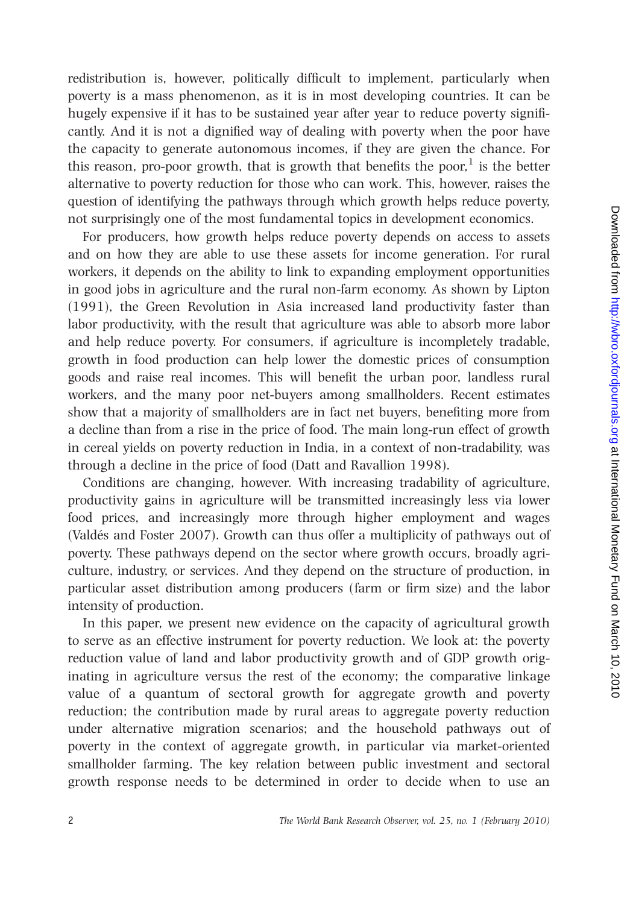redistribution is, however, politically difficult to implement, particularly when poverty is a mass phenomenon, as it is in most developing countries. It can be hugely expensive if it has to be sustained year after year to reduce poverty significantly. And it is not a dignified way of dealing with poverty when the poor have the capacity to generate autonomous incomes, if they are given the chance. For this reason, pro-poor growth, that is growth that benefits the poor, $<sup>1</sup>$  is the better</sup> alternative to poverty reduction for those who can work. This, however, raises the question of identifying the pathways through which growth helps reduce poverty, not surprisingly one of the most fundamental topics in development economics.

For producers, how growth helps reduce poverty depends on access to assets and on how they are able to use these assets for income generation. For rural workers, it depends on the ability to link to expanding employment opportunities in good jobs in agriculture and the rural non-farm economy. As shown by Lipton (1991), the Green Revolution in Asia increased land productivity faster than labor productivity, with the result that agriculture was able to absorb more labor and help reduce poverty. For consumers, if agriculture is incompletely tradable, growth in food production can help lower the domestic prices of consumption goods and raise real incomes. This will benefit the urban poor, landless rural workers, and the many poor net-buyers among smallholders. Recent estimates show that a majority of smallholders are in fact net buyers, benefiting more from a decline than from a rise in the price of food. The main long-run effect of growth in cereal yields on poverty reduction in India, in a context of non-tradability, was through a decline in the price of food (Datt and Ravallion 1998).

Conditions are changing, however. With increasing tradability of agriculture, productivity gains in agriculture will be transmitted increasingly less via lower food prices, and increasingly more through higher employment and wages (Valdés and Foster 2007). Growth can thus offer a multiplicity of pathways out of poverty. These pathways depend on the sector where growth occurs, broadly agriculture, industry, or services. And they depend on the structure of production, in particular asset distribution among producers (farm or firm size) and the labor intensity of production.

In this paper, we present new evidence on the capacity of agricultural growth to serve as an effective instrument for poverty reduction. We look at: the poverty reduction value of land and labor productivity growth and of GDP growth originating in agriculture versus the rest of the economy; the comparative linkage value of a quantum of sectoral growth for aggregate growth and poverty reduction; the contribution made by rural areas to aggregate poverty reduction under alternative migration scenarios; and the household pathways out of poverty in the context of aggregate growth, in particular via market-oriented smallholder farming. The key relation between public investment and sectoral growth response needs to be determined in order to decide when to use an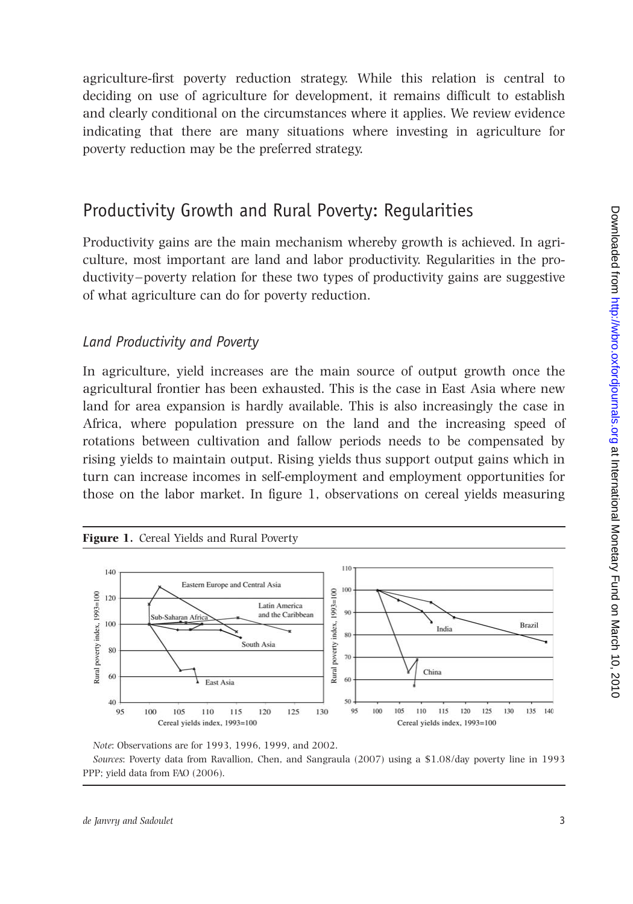agriculture-first poverty reduction strategy. While this relation is central to deciding on use of agriculture for development, it remains difficult to establish and clearly conditional on the circumstances where it applies. We review evidence indicating that there are many situations where investing in agriculture for poverty reduction may be the preferred strategy.

### Productivity Growth and Rural Poverty: Regularities

Productivity gains are the main mechanism whereby growth is achieved. In agriculture, most important are land and labor productivity. Regularities in the productivity –poverty relation for these two types of productivity gains are suggestive of what agriculture can do for poverty reduction.

#### Land Productivity and Poverty

In agriculture, yield increases are the main source of output growth once the agricultural frontier has been exhausted. This is the case in East Asia where new land for area expansion is hardly available. This is also increasingly the case in Africa, where population pressure on the land and the increasing speed of rotations between cultivation and fallow periods needs to be compensated by rising yields to maintain output. Rising yields thus support output gains which in turn can increase incomes in self-employment and employment opportunities for those on the labor market. In figure 1, observations on cereal yields measuring



Note: Observations are for 1993, 1996, 1999, and 2002. Sources: Poverty data from Ravallion, Chen, and Sangraula (2007) using a \$1.08/day poverty line in 1993 PPP; yield data from FAO (2006).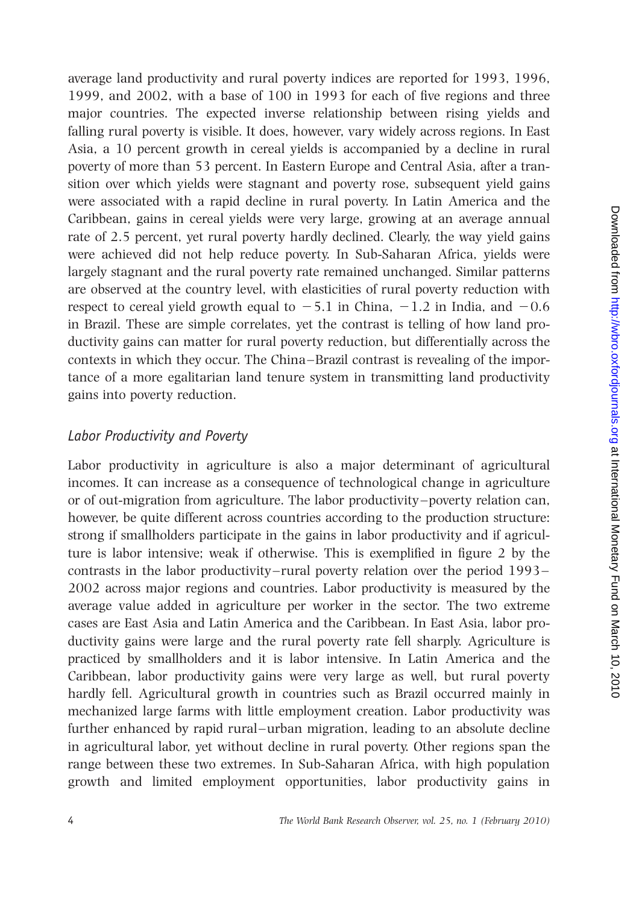average land productivity and rural poverty indices are reported for 1993, 1996, 1999, and 2002, with a base of 100 in 1993 for each of five regions and three major countries. The expected inverse relationship between rising yields and falling rural poverty is visible. It does, however, vary widely across regions. In East Asia, a 10 percent growth in cereal yields is accompanied by a decline in rural poverty of more than 53 percent. In Eastern Europe and Central Asia, after a transition over which yields were stagnant and poverty rose, subsequent yield gains were associated with a rapid decline in rural poverty. In Latin America and the Caribbean, gains in cereal yields were very large, growing at an average annual rate of 2.5 percent, yet rural poverty hardly declined. Clearly, the way yield gains were achieved did not help reduce poverty. In Sub-Saharan Africa, yields were largely stagnant and the rural poverty rate remained unchanged. Similar patterns are observed at the country level, with elasticities of rural poverty reduction with respect to cereal yield growth equal to  $-5.1$  in China,  $-1.2$  in India, and  $-0.6$ in Brazil. These are simple correlates, yet the contrast is telling of how land productivity gains can matter for rural poverty reduction, but differentially across the contexts in which they occur. The China –Brazil contrast is revealing of the importance of a more egalitarian land tenure system in transmitting land productivity gains into poverty reduction.

#### Labor Productivity and Poverty

Labor productivity in agriculture is also a major determinant of agricultural incomes. It can increase as a consequence of technological change in agriculture or of out-migration from agriculture. The labor productivity –poverty relation can, however, be quite different across countries according to the production structure: strong if smallholders participate in the gains in labor productivity and if agriculture is labor intensive; weak if otherwise. This is exemplified in figure 2 by the contrasts in the labor productivity–rural poverty relation over the period 1993– 2002 across major regions and countries. Labor productivity is measured by the average value added in agriculture per worker in the sector. The two extreme cases are East Asia and Latin America and the Caribbean. In East Asia, labor productivity gains were large and the rural poverty rate fell sharply. Agriculture is practiced by smallholders and it is labor intensive. In Latin America and the Caribbean, labor productivity gains were very large as well, but rural poverty hardly fell. Agricultural growth in countries such as Brazil occurred mainly in mechanized large farms with little employment creation. Labor productivity was further enhanced by rapid rural–urban migration, leading to an absolute decline in agricultural labor, yet without decline in rural poverty. Other regions span the range between these two extremes. In Sub-Saharan Africa, with high population growth and limited employment opportunities, labor productivity gains in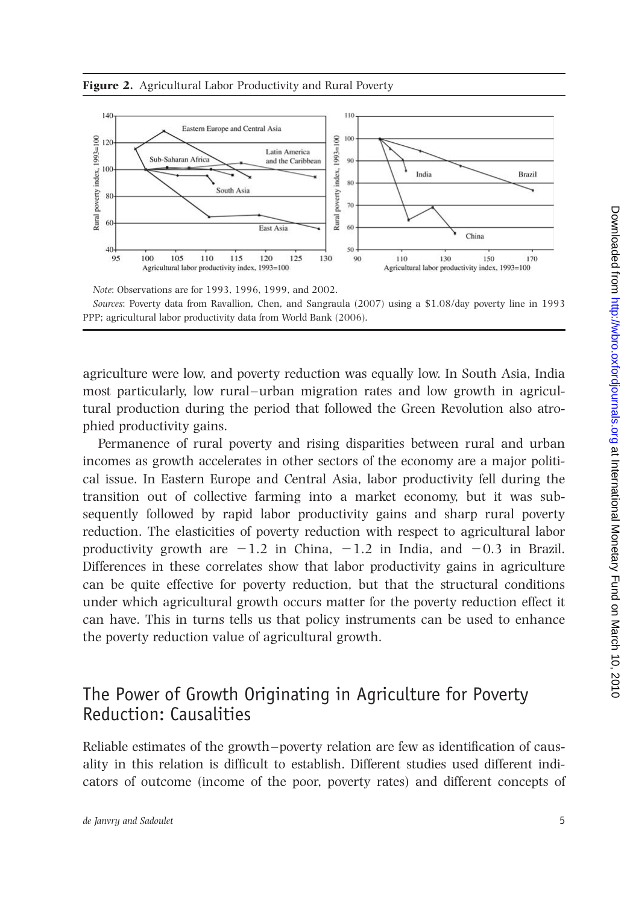#### Figure 2. Agricultural Labor Productivity and Rural Poverty





agriculture were low, and poverty reduction was equally low. In South Asia, India most particularly, low rural–urban migration rates and low growth in agricultural production during the period that followed the Green Revolution also atrophied productivity gains.

Permanence of rural poverty and rising disparities between rural and urban incomes as growth accelerates in other sectors of the economy are a major political issue. In Eastern Europe and Central Asia, labor productivity fell during the transition out of collective farming into a market economy, but it was subsequently followed by rapid labor productivity gains and sharp rural poverty reduction. The elasticities of poverty reduction with respect to agricultural labor productivity growth are  $-1.2$  in China,  $-1.2$  in India, and  $-0.3$  in Brazil. Differences in these correlates show that labor productivity gains in agriculture can be quite effective for poverty reduction, but that the structural conditions under which agricultural growth occurs matter for the poverty reduction effect it can have. This in turns tells us that policy instruments can be used to enhance the poverty reduction value of agricultural growth.

# The Power of Growth Originating in Agriculture for Poverty Reduction: Causalities

Reliable estimates of the growth–poverty relation are few as identification of causality in this relation is difficult to establish. Different studies used different indicators of outcome (income of the poor, poverty rates) and different concepts of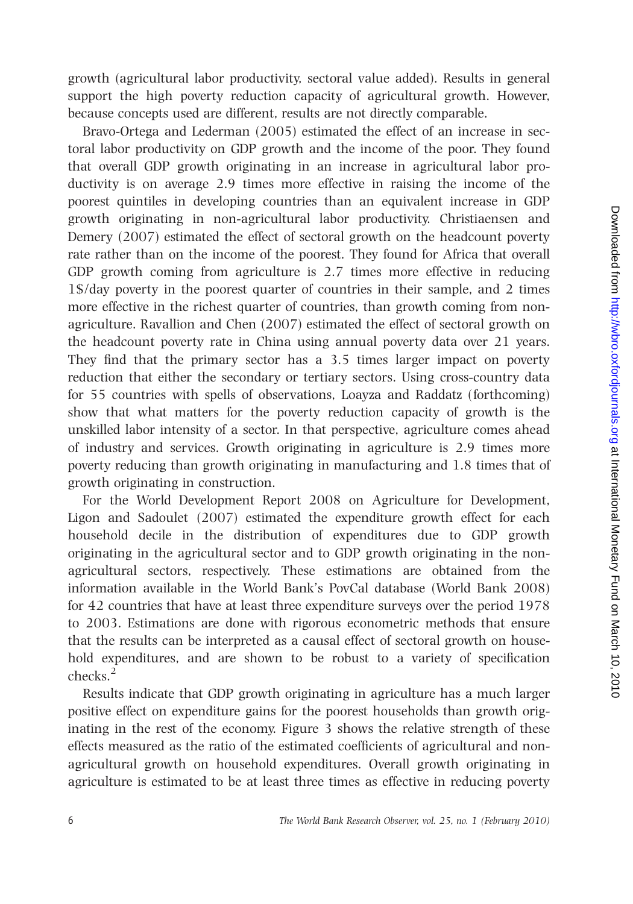growth (agricultural labor productivity, sectoral value added). Results in general support the high poverty reduction capacity of agricultural growth. However, because concepts used are different, results are not directly comparable.

Bravo-Ortega and Lederman (2005) estimated the effect of an increase in sectoral labor productivity on GDP growth and the income of the poor. They found that overall GDP growth originating in an increase in agricultural labor productivity is on average 2.9 times more effective in raising the income of the poorest quintiles in developing countries than an equivalent increase in GDP growth originating in non-agricultural labor productivity. Christiaensen and Demery (2007) estimated the effect of sectoral growth on the headcount poverty rate rather than on the income of the poorest. They found for Africa that overall GDP growth coming from agriculture is 2.7 times more effective in reducing 1\$/day poverty in the poorest quarter of countries in their sample, and 2 times more effective in the richest quarter of countries, than growth coming from nonagriculture. Ravallion and Chen (2007) estimated the effect of sectoral growth on the headcount poverty rate in China using annual poverty data over 21 years. They find that the primary sector has a 3.5 times larger impact on poverty reduction that either the secondary or tertiary sectors. Using cross-country data for 55 countries with spells of observations, Loayza and Raddatz (forthcoming) show that what matters for the poverty reduction capacity of growth is the unskilled labor intensity of a sector. In that perspective, agriculture comes ahead of industry and services. Growth originating in agriculture is 2.9 times more poverty reducing than growth originating in manufacturing and 1.8 times that of growth originating in construction.

For the World Development Report 2008 on Agriculture for Development, Ligon and Sadoulet (2007) estimated the expenditure growth effect for each household decile in the distribution of expenditures due to GDP growth originating in the agricultural sector and to GDP growth originating in the nonagricultural sectors, respectively. These estimations are obtained from the information available in the World Bank's PovCal database (World Bank 2008) for 42 countries that have at least three expenditure surveys over the period 1978 to 2003. Estimations are done with rigorous econometric methods that ensure that the results can be interpreted as a causal effect of sectoral growth on household expenditures, and are shown to be robust to a variety of specification checks.<sup>2</sup>

Results indicate that GDP growth originating in agriculture has a much larger positive effect on expenditure gains for the poorest households than growth originating in the rest of the economy. Figure 3 shows the relative strength of these effects measured as the ratio of the estimated coefficients of agricultural and nonagricultural growth on household expenditures. Overall growth originating in agriculture is estimated to be at least three times as effective in reducing poverty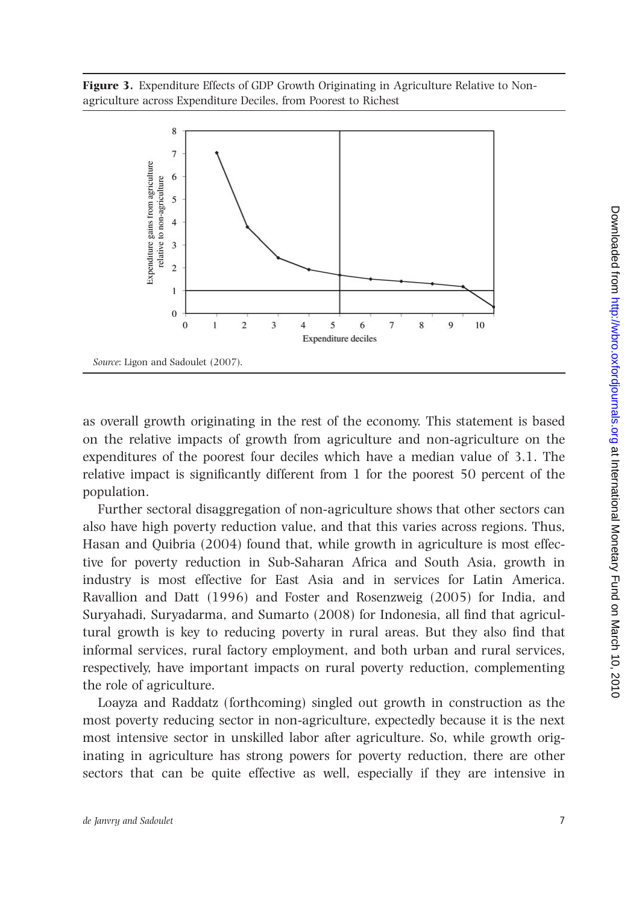Figure 3. Expenditure Effects of GDP Growth Originating in Agriculture Relative to Nonagriculture across Expenditure Deciles, from Poorest to Richest



as overall growth originating in the rest of the economy. This statement is based on the relative impacts of growth from agriculture and non-agriculture on the expenditures of the poorest four deciles which have a median value of 3.1. The relative impact is significantly different from 1 for the poorest 50 percent of the population.

Further sectoral disaggregation of non-agriculture shows that other sectors can also have high poverty reduction value, and that this varies across regions. Thus, Hasan and Quibria (2004) found that, while growth in agriculture is most effective for poverty reduction in Sub-Saharan Africa and South Asia, growth in industry is most effective for East Asia and in services for Latin America. Ravallion and Datt (1996) and Foster and Rosenzweig (2005) for India, and Suryahadi, Suryadarma, and Sumarto (2008) for Indonesia, all find that agricultural growth is key to reducing poverty in rural areas. But they also find that informal services, rural factory employment, and both urban and rural services, respectively, have important impacts on rural poverty reduction, complementing the role of agriculture.

Loayza and Raddatz (forthcoming) singled out growth in construction as the most poverty reducing sector in non-agriculture, expectedly because it is the next most intensive sector in unskilled labor after agriculture. So, while growth originating in agriculture has strong powers for poverty reduction, there are other sectors that can be quite effective as well, especially if they are intensive in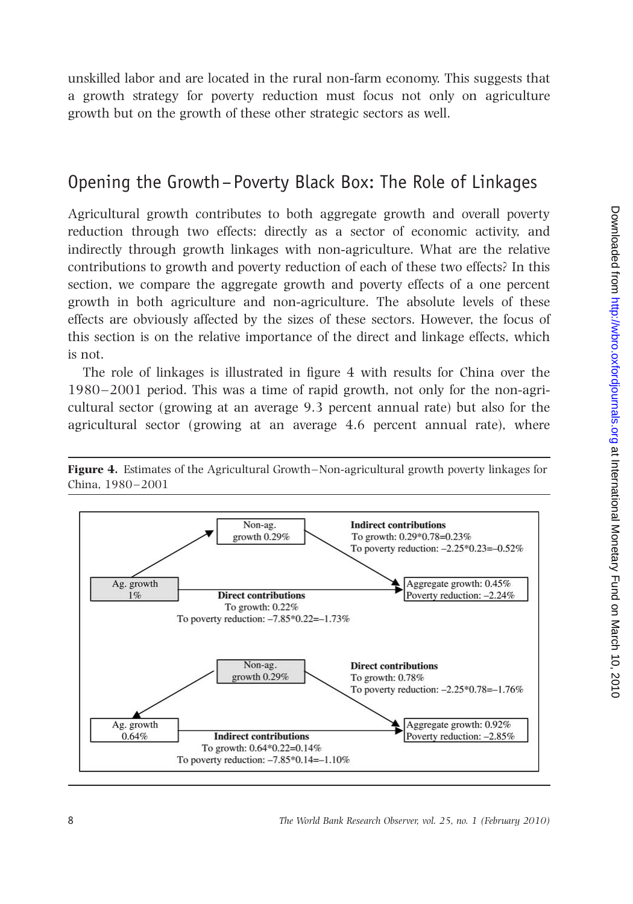unskilled labor and are located in the rural non-farm economy. This suggests that a growth strategy for poverty reduction must focus not only on agriculture growth but on the growth of these other strategic sectors as well.

#### Opening the Growth–Poverty Black Box: The Role of Linkages

Agricultural growth contributes to both aggregate growth and overall poverty reduction through two effects: directly as a sector of economic activity, and indirectly through growth linkages with non-agriculture. What are the relative contributions to growth and poverty reduction of each of these two effects? In this section, we compare the aggregate growth and poverty effects of a one percent growth in both agriculture and non-agriculture. The absolute levels of these effects are obviously affected by the sizes of these sectors. However, the focus of this section is on the relative importance of the direct and linkage effects, which is not.

The role of linkages is illustrated in figure 4 with results for China over the 1980–2001 period. This was a time of rapid growth, not only for the non-agricultural sector (growing at an average 9.3 percent annual rate) but also for the agricultural sector (growing at an average 4.6 percent annual rate), where



Figure 4. Estimates of the Agricultural Growth–Non-agricultural growth poverty linkages for China, 1980–2001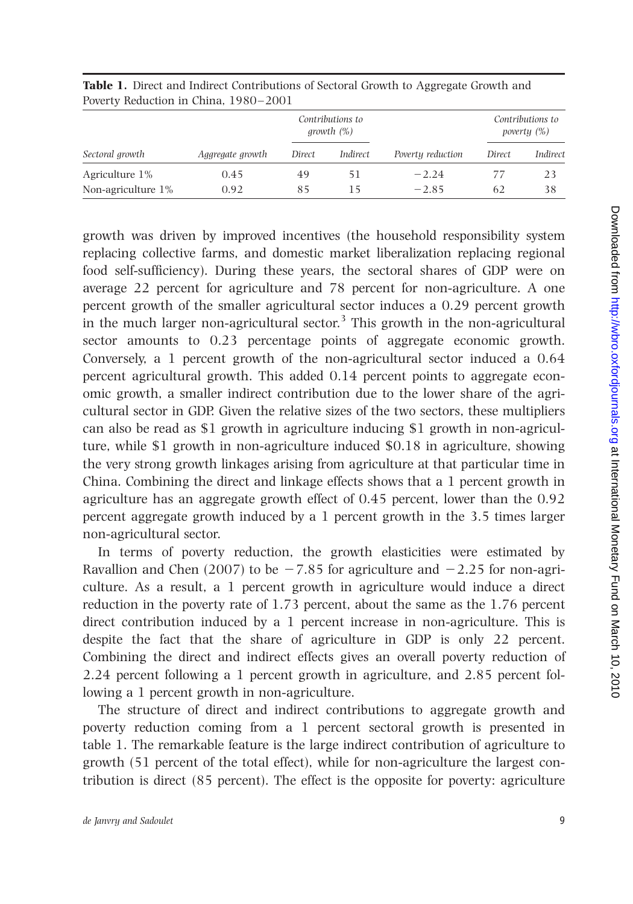|                       |                         |        | Contributions to<br>growth $(\%)$ |                   | Contributions to<br>poverty $(\%)$ |                 |
|-----------------------|-------------------------|--------|-----------------------------------|-------------------|------------------------------------|-----------------|
| Sectoral growth       | <i>Aggregate growth</i> | Direct | Indirect                          | Poverty reduction | Direct                             | <i>Indirect</i> |
| Agriculture $1\%$     | 0.45                    | 49     | 51                                | $-2.24$           | 77                                 | 23              |
| Non-agriculture $1\%$ | 0.92                    | 85     | ר ו                               | $-2.85$           | 62                                 | 38              |

Table 1. Direct and Indirect Contributions of Sectoral Growth to Aggregate Growth and Poverty Reduction in China, 1980–2001

growth was driven by improved incentives (the household responsibility system replacing collective farms, and domestic market liberalization replacing regional food self-sufficiency). During these years, the sectoral shares of GDP were on average 22 percent for agriculture and 78 percent for non-agriculture. A one percent growth of the smaller agricultural sector induces a 0.29 percent growth in the much larger non-agricultural sector.<sup>3</sup> This growth in the non-agricultural sector amounts to 0.23 percentage points of aggregate economic growth. Conversely, a 1 percent growth of the non-agricultural sector induced a 0.64 percent agricultural growth. This added 0.14 percent points to aggregate economic growth, a smaller indirect contribution due to the lower share of the agricultural sector in GDP. Given the relative sizes of the two sectors, these multipliers can also be read as \$1 growth in agriculture inducing \$1 growth in non-agriculture, while \$1 growth in non-agriculture induced \$0.18 in agriculture, showing the very strong growth linkages arising from agriculture at that particular time in China. Combining the direct and linkage effects shows that a 1 percent growth in agriculture has an aggregate growth effect of 0.45 percent, lower than the 0.92 percent aggregate growth induced by a 1 percent growth in the 3.5 times larger non-agricultural sector.

In terms of poverty reduction, the growth elasticities were estimated by Ravallion and Chen (2007) to be  $-7.85$  for agriculture and  $-2.25$  for non-agriculture. As a result, a 1 percent growth in agriculture would induce a direct reduction in the poverty rate of 1.73 percent, about the same as the 1.76 percent direct contribution induced by a 1 percent increase in non-agriculture. This is despite the fact that the share of agriculture in GDP is only 22 percent. Combining the direct and indirect effects gives an overall poverty reduction of 2.24 percent following a 1 percent growth in agriculture, and 2.85 percent following a 1 percent growth in non-agriculture.

The structure of direct and indirect contributions to aggregate growth and poverty reduction coming from a 1 percent sectoral growth is presented in table 1. The remarkable feature is the large indirect contribution of agriculture to growth (51 percent of the total effect), while for non-agriculture the largest contribution is direct (85 percent). The effect is the opposite for poverty: agriculture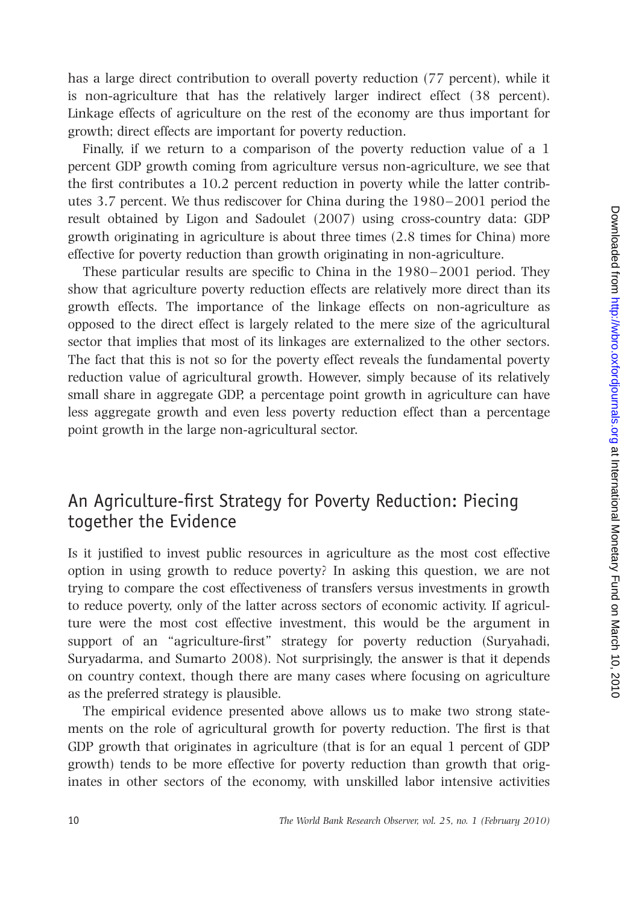has a large direct contribution to overall poverty reduction (77 percent), while it is non-agriculture that has the relatively larger indirect effect (38 percent). Linkage effects of agriculture on the rest of the economy are thus important for growth; direct effects are important for poverty reduction.

Finally, if we return to a comparison of the poverty reduction value of a 1 percent GDP growth coming from agriculture versus non-agriculture, we see that the first contributes a 10.2 percent reduction in poverty while the latter contributes 3.7 percent. We thus rediscover for China during the 1980–2001 period the result obtained by Ligon and Sadoulet (2007) using cross-country data: GDP growth originating in agriculture is about three times (2.8 times for China) more effective for poverty reduction than growth originating in non-agriculture.

These particular results are specific to China in the 1980–2001 period. They show that agriculture poverty reduction effects are relatively more direct than its growth effects. The importance of the linkage effects on non-agriculture as opposed to the direct effect is largely related to the mere size of the agricultural sector that implies that most of its linkages are externalized to the other sectors. The fact that this is not so for the poverty effect reveals the fundamental poverty reduction value of agricultural growth. However, simply because of its relatively small share in aggregate GDP, a percentage point growth in agriculture can have less aggregate growth and even less poverty reduction effect than a percentage point growth in the large non-agricultural sector.

#### An Agriculture-first Strategy for Poverty Reduction: Piecing together the Evidence

Is it justified to invest public resources in agriculture as the most cost effective option in using growth to reduce poverty? In asking this question, we are not trying to compare the cost effectiveness of transfers versus investments in growth to reduce poverty, only of the latter across sectors of economic activity. If agriculture were the most cost effective investment, this would be the argument in support of an "agriculture-first" strategy for poverty reduction (Suryahadi, Suryadarma, and Sumarto 2008). Not surprisingly, the answer is that it depends on country context, though there are many cases where focusing on agriculture as the preferred strategy is plausible.

The empirical evidence presented above allows us to make two strong statements on the role of agricultural growth for poverty reduction. The first is that GDP growth that originates in agriculture (that is for an equal 1 percent of GDP growth) tends to be more effective for poverty reduction than growth that originates in other sectors of the economy, with unskilled labor intensive activities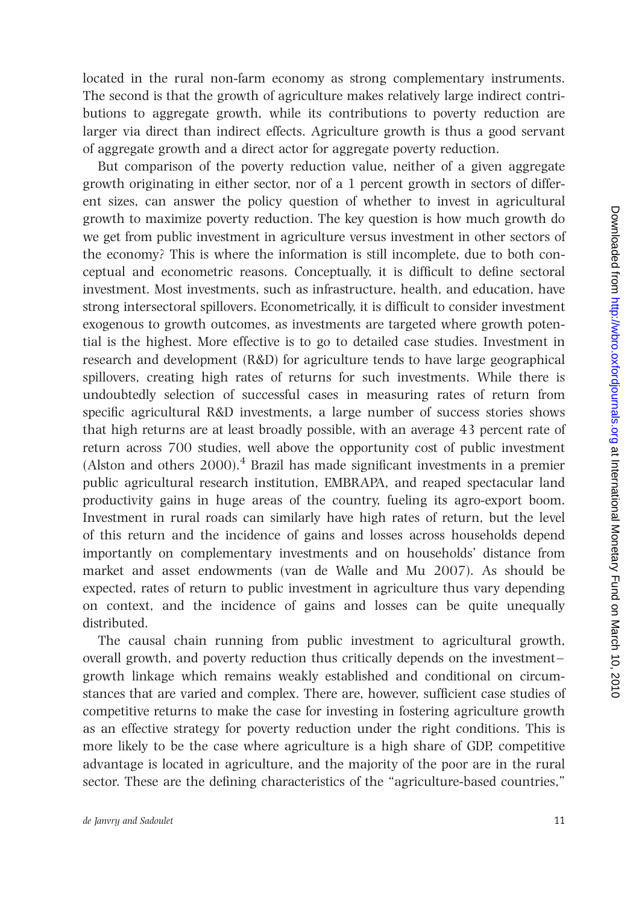located in the rural non-farm economy as strong complementary instruments. The second is that the growth of agriculture makes relatively large indirect contributions to aggregate growth, while its contributions to poverty reduction are larger via direct than indirect effects. Agriculture growth is thus a good servant of aggregate growth and a direct actor for aggregate poverty reduction.

But comparison of the poverty reduction value, neither of a given aggregate growth originating in either sector, nor of a 1 percent growth in sectors of different sizes, can answer the policy question of whether to invest in agricultural growth to maximize poverty reduction. The key question is how much growth do we get from public investment in agriculture versus investment in other sectors of the economy? This is where the information is still incomplete, due to both conceptual and econometric reasons. Conceptually, it is difficult to define sectoral investment. Most investments, such as infrastructure, health, and education, have strong intersectoral spillovers. Econometrically, it is difficult to consider investment exogenous to growth outcomes, as investments are targeted where growth potential is the highest. More effective is to go to detailed case studies. Investment in research and development (R&D) for agriculture tends to have large geographical spillovers, creating high rates of returns for such investments. While there is undoubtedly selection of successful cases in measuring rates of return from specific agricultural R&D investments, a large number of success stories shows that high returns are at least broadly possible, with an average 43 percent rate of return across 700 studies, well above the opportunity cost of public investment (Alston and others  $2000$ ).<sup>4</sup> Brazil has made significant investments in a premier public agricultural research institution, EMBRAPA, and reaped spectacular land productivity gains in huge areas of the country, fueling its agro-export boom. Investment in rural roads can similarly have high rates of return, but the level of this return and the incidence of gains and losses across households depend importantly on complementary investments and on households' distance from market and asset endowments (van de Walle and Mu 2007). As should be expected, rates of return to public investment in agriculture thus vary depending on context, and the incidence of gains and losses can be quite unequally distributed.

The causal chain running from public investment to agricultural growth, overall growth, and poverty reduction thus critically depends on the investment– growth linkage which remains weakly established and conditional on circumstances that are varied and complex. There are, however, sufficient case studies of competitive returns to make the case for investing in fostering agriculture growth as an effective strategy for poverty reduction under the right conditions. This is more likely to be the case where agriculture is a high share of GDP, competitive advantage is located in agriculture, and the majority of the poor are in the rural sector. These are the defining characteristics of the "agriculture-based countries,"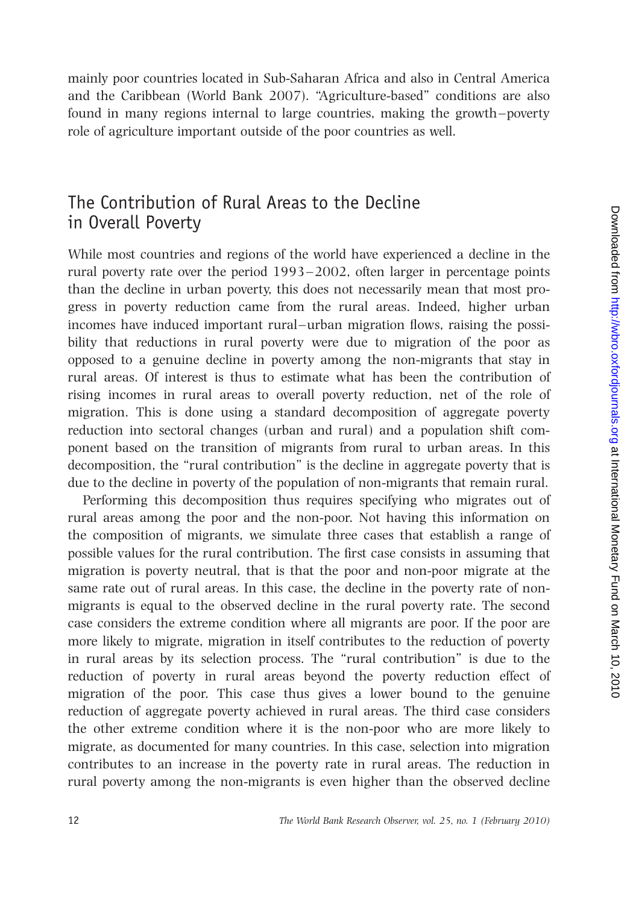mainly poor countries located in Sub-Saharan Africa and also in Central America and the Caribbean (World Bank 2007). "Agriculture-based" conditions are also found in many regions internal to large countries, making the growth–poverty role of agriculture important outside of the poor countries as well.

# The Contribution of Rural Areas to the Decline in Overall Poverty

While most countries and regions of the world have experienced a decline in the rural poverty rate over the period 1993–2002, often larger in percentage points than the decline in urban poverty, this does not necessarily mean that most progress in poverty reduction came from the rural areas. Indeed, higher urban incomes have induced important rural–urban migration flows, raising the possibility that reductions in rural poverty were due to migration of the poor as opposed to a genuine decline in poverty among the non-migrants that stay in rural areas. Of interest is thus to estimate what has been the contribution of rising incomes in rural areas to overall poverty reduction, net of the role of migration. This is done using a standard decomposition of aggregate poverty reduction into sectoral changes (urban and rural) and a population shift component based on the transition of migrants from rural to urban areas. In this decomposition, the "rural contribution" is the decline in aggregate poverty that is due to the decline in poverty of the population of non-migrants that remain rural.

Performing this decomposition thus requires specifying who migrates out of rural areas among the poor and the non-poor. Not having this information on the composition of migrants, we simulate three cases that establish a range of possible values for the rural contribution. The first case consists in assuming that migration is poverty neutral, that is that the poor and non-poor migrate at the same rate out of rural areas. In this case, the decline in the poverty rate of nonmigrants is equal to the observed decline in the rural poverty rate. The second case considers the extreme condition where all migrants are poor. If the poor are more likely to migrate, migration in itself contributes to the reduction of poverty in rural areas by its selection process. The "rural contribution" is due to the reduction of poverty in rural areas beyond the poverty reduction effect of migration of the poor. This case thus gives a lower bound to the genuine reduction of aggregate poverty achieved in rural areas. The third case considers the other extreme condition where it is the non-poor who are more likely to migrate, as documented for many countries. In this case, selection into migration contributes to an increase in the poverty rate in rural areas. The reduction in rural poverty among the non-migrants is even higher than the observed decline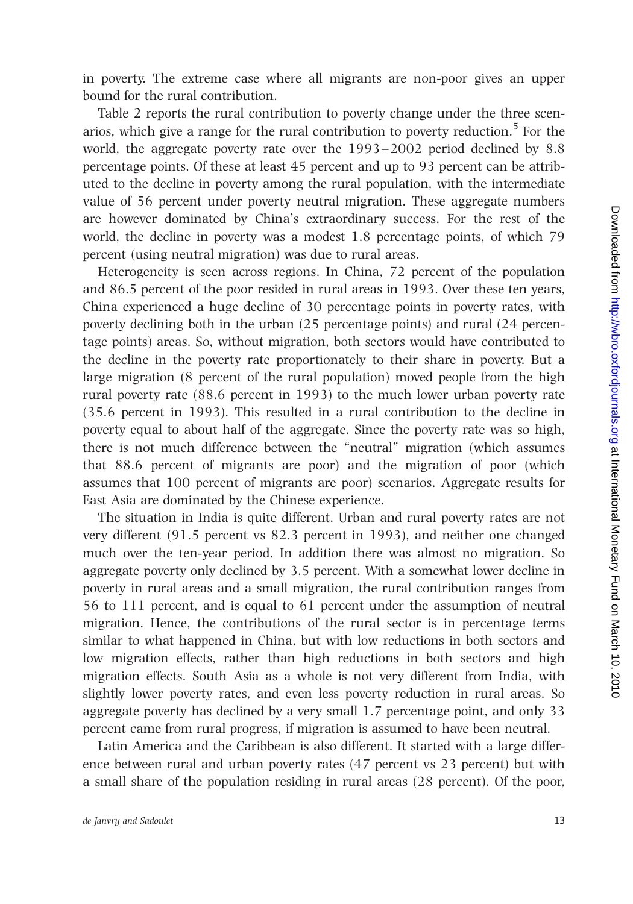in poverty. The extreme case where all migrants are non-poor gives an upper bound for the rural contribution.

Table 2 reports the rural contribution to poverty change under the three scenarios, which give a range for the rural contribution to poverty reduction.<sup>5</sup> For the world, the aggregate poverty rate over the 1993–2002 period declined by 8.8 percentage points. Of these at least 45 percent and up to 93 percent can be attributed to the decline in poverty among the rural population, with the intermediate value of 56 percent under poverty neutral migration. These aggregate numbers are however dominated by China's extraordinary success. For the rest of the world, the decline in poverty was a modest 1.8 percentage points, of which 79 percent (using neutral migration) was due to rural areas.

Heterogeneity is seen across regions. In China, 72 percent of the population and 86.5 percent of the poor resided in rural areas in 1993. Over these ten years, China experienced a huge decline of 30 percentage points in poverty rates, with poverty declining both in the urban (25 percentage points) and rural (24 percentage points) areas. So, without migration, both sectors would have contributed to the decline in the poverty rate proportionately to their share in poverty. But a large migration (8 percent of the rural population) moved people from the high rural poverty rate (88.6 percent in 1993) to the much lower urban poverty rate (35.6 percent in 1993). This resulted in a rural contribution to the decline in poverty equal to about half of the aggregate. Since the poverty rate was so high, there is not much difference between the "neutral" migration (which assumes that 88.6 percent of migrants are poor) and the migration of poor (which assumes that 100 percent of migrants are poor) scenarios. Aggregate results for East Asia are dominated by the Chinese experience.

The situation in India is quite different. Urban and rural poverty rates are not very different (91.5 percent vs 82.3 percent in 1993), and neither one changed much over the ten-year period. In addition there was almost no migration. So aggregate poverty only declined by 3.5 percent. With a somewhat lower decline in poverty in rural areas and a small migration, the rural contribution ranges from 56 to 111 percent, and is equal to 61 percent under the assumption of neutral migration. Hence, the contributions of the rural sector is in percentage terms similar to what happened in China, but with low reductions in both sectors and low migration effects, rather than high reductions in both sectors and high migration effects. South Asia as a whole is not very different from India, with slightly lower poverty rates, and even less poverty reduction in rural areas. So aggregate poverty has declined by a very small 1.7 percentage point, and only 33 percent came from rural progress, if migration is assumed to have been neutral.

Latin America and the Caribbean is also different. It started with a large difference between rural and urban poverty rates (47 percent vs 23 percent) but with a small share of the population residing in rural areas (28 percent). Of the poor,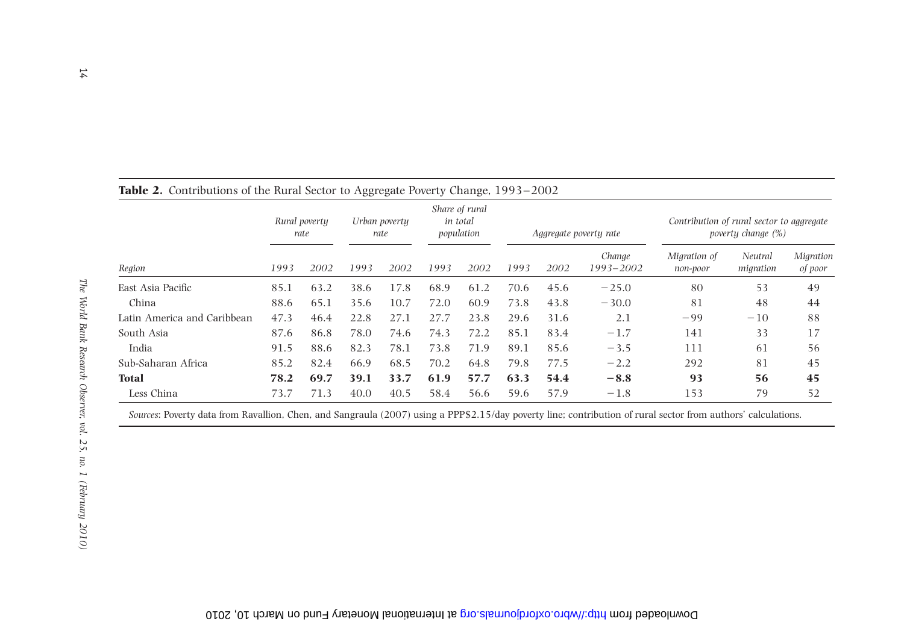|                             | Rural poverty<br>rate |      | Urban poverty<br>rate |      | Share of rural<br>in total<br>population |      | Aggregate poverty rate |      |                     | Contribution of rural sector to aggregate<br>poverty change (%) |                      |                      |
|-----------------------------|-----------------------|------|-----------------------|------|------------------------------------------|------|------------------------|------|---------------------|-----------------------------------------------------------------|----------------------|----------------------|
| Region                      | 1993                  | 2002 | 1993                  | 2002 | 1993                                     | 2002 | 1993                   | 2002 | Change<br>1993-2002 | Migration of<br>non-poor                                        | Neutral<br>migration | Migration<br>of poor |
| East Asia Pacific           | 85.1                  | 63.2 | 38.6                  | 17.8 | 68.9                                     | 61.2 | 70.6                   | 45.6 | $-25.0$             | 80                                                              | 53                   | 49                   |
| China                       | 88.6                  | 65.1 | 35.6                  | 10.7 | 72.0                                     | 60.9 | 73.8                   | 43.8 | $-30.0$             | 81                                                              | 48                   | 44                   |
| Latin America and Caribbean | 47.3                  | 46.4 | 22.8                  | 27.1 | 27.7                                     | 23.8 | 29.6                   | 31.6 | 2.1                 | $-99$                                                           | $-10$                | 88                   |
| South Asia                  | 87.6                  | 86.8 | 78.0                  | 74.6 | 74.3                                     | 72.2 | 85.1                   | 83.4 | $-1.7$              | 141                                                             | 33                   | 17                   |
| India                       | 91.5                  | 88.6 | 82.3                  | 78.1 | 73.8                                     | 71.9 | 89.1                   | 85.6 | $-3.5$              | 111                                                             | 61                   | 56                   |
| Sub-Saharan Africa          | 85.2                  | 82.4 | 66.9                  | 68.5 | 70.2                                     | 64.8 | 79.8                   | 77.5 | $-2.2$              | 292                                                             | 81                   | 45                   |
| <b>Total</b>                | 78.2                  | 69.7 | 39.1                  | 33.7 | 61.9                                     | 57.7 | 63.3                   | 54.4 | $-8.8$              | 93                                                              | 56                   | 45                   |
| Less China                  | 73.7                  | 71.3 | 40.0                  | 40.5 | 58.4                                     | 56.6 | 59.6                   | 57.9 | $-1.8$              | 153                                                             | 79                   | 52                   |

**Table 2.** Contributions of the Rural Sector to Aggregate Poverty Change, 1993–2002

Sources: Poverty data from Ravallion, Chen, and Sangraula (2007) using <sup>a</sup> PPP\$2.15/day poverty line; contribution of rural sector from authors' calculations.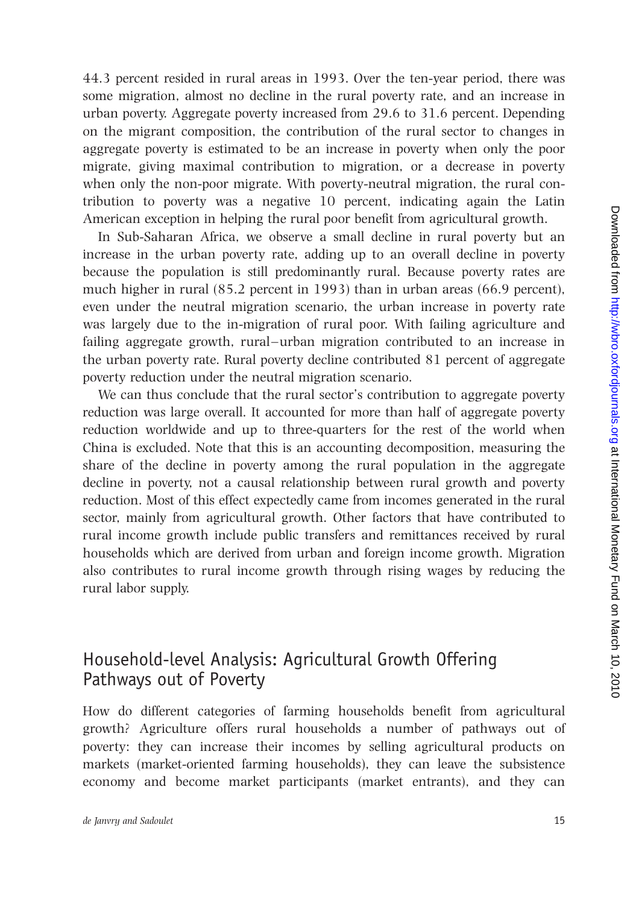44.3 percent resided in rural areas in 1993. Over the ten-year period, there was some migration, almost no decline in the rural poverty rate, and an increase in urban poverty. Aggregate poverty increased from 29.6 to 31.6 percent. Depending on the migrant composition, the contribution of the rural sector to changes in aggregate poverty is estimated to be an increase in poverty when only the poor migrate, giving maximal contribution to migration, or a decrease in poverty when only the non-poor migrate. With poverty-neutral migration, the rural contribution to poverty was a negative 10 percent, indicating again the Latin American exception in helping the rural poor benefit from agricultural growth.

In Sub-Saharan Africa, we observe a small decline in rural poverty but an increase in the urban poverty rate, adding up to an overall decline in poverty because the population is still predominantly rural. Because poverty rates are much higher in rural (85.2 percent in 1993) than in urban areas (66.9 percent), even under the neutral migration scenario, the urban increase in poverty rate was largely due to the in-migration of rural poor. With failing agriculture and failing aggregate growth, rural–urban migration contributed to an increase in the urban poverty rate. Rural poverty decline contributed 81 percent of aggregate poverty reduction under the neutral migration scenario.

We can thus conclude that the rural sector's contribution to aggregate poverty reduction was large overall. It accounted for more than half of aggregate poverty reduction worldwide and up to three-quarters for the rest of the world when China is excluded. Note that this is an accounting decomposition, measuring the share of the decline in poverty among the rural population in the aggregate decline in poverty, not a causal relationship between rural growth and poverty reduction. Most of this effect expectedly came from incomes generated in the rural sector, mainly from agricultural growth. Other factors that have contributed to rural income growth include public transfers and remittances received by rural households which are derived from urban and foreign income growth. Migration also contributes to rural income growth through rising wages by reducing the rural labor supply.

## Household-level Analysis: Agricultural Growth Offering Pathways out of Poverty

How do different categories of farming households benefit from agricultural growth? Agriculture offers rural households a number of pathways out of poverty: they can increase their incomes by selling agricultural products on markets (market-oriented farming households), they can leave the subsistence economy and become market participants (market entrants), and they can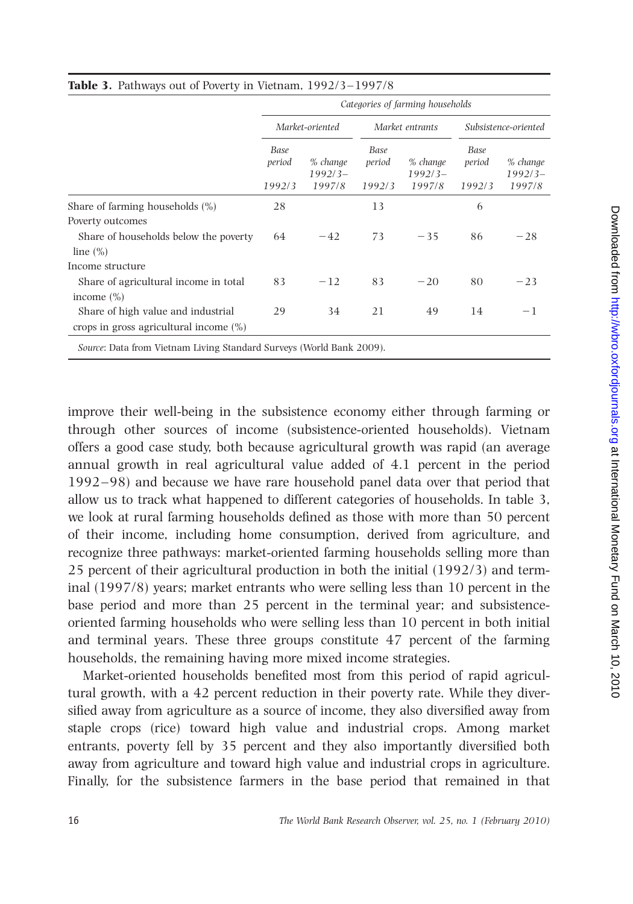|                                                                                 | Categories of farming households |                                 |                          |                                 |                          |                                 |  |  |  |
|---------------------------------------------------------------------------------|----------------------------------|---------------------------------|--------------------------|---------------------------------|--------------------------|---------------------------------|--|--|--|
|                                                                                 |                                  | Market-oriented                 |                          | Market entrants                 | Subsistence-oriented     |                                 |  |  |  |
|                                                                                 | Base<br>period<br>1992/3         | % change<br>$1992/3-$<br>1997/8 | Base<br>period<br>1992/3 | % change<br>$1992/3-$<br>1997/8 | Base<br>period<br>1992/3 | % change<br>$1992/3-$<br>1997/8 |  |  |  |
| Share of farming households (%)                                                 | 28                               |                                 | 13                       |                                 | 6                        |                                 |  |  |  |
| Poverty outcomes                                                                |                                  |                                 |                          |                                 |                          |                                 |  |  |  |
| Share of households below the poverty<br>line $(\% )$                           | 64                               | $-42$                           | 73                       | $-35$                           | 86                       | $-28$                           |  |  |  |
| Income structure                                                                |                                  |                                 |                          |                                 |                          |                                 |  |  |  |
| Share of agricultural income in total<br>income $(\% )$                         | 83                               | $-12$                           | 83                       | $-20$                           | 80                       | $-23$                           |  |  |  |
| Share of high value and industrial<br>crops in gross agricultural income $(\%)$ | 29                               | 34                              | 21                       | 49                              | 14                       | -1                              |  |  |  |

#### Table 3. Pathways out of Poverty in Vietnam, 1992/3–1997/8

improve their well-being in the subsistence economy either through farming or through other sources of income (subsistence-oriented households). Vietnam offers a good case study, both because agricultural growth was rapid (an average annual growth in real agricultural value added of 4.1 percent in the period 1992–98) and because we have rare household panel data over that period that allow us to track what happened to different categories of households. In table 3, we look at rural farming households defined as those with more than 50 percent of their income, including home consumption, derived from agriculture, and recognize three pathways: market-oriented farming households selling more than 25 percent of their agricultural production in both the initial (1992/3) and terminal (1997/8) years; market entrants who were selling less than 10 percent in the base period and more than 25 percent in the terminal year; and subsistenceoriented farming households who were selling less than 10 percent in both initial and terminal years. These three groups constitute 47 percent of the farming households, the remaining having more mixed income strategies.

Market-oriented households benefited most from this period of rapid agricultural growth, with a 42 percent reduction in their poverty rate. While they diversified away from agriculture as a source of income, they also diversified away from staple crops (rice) toward high value and industrial crops. Among market entrants, poverty fell by 35 percent and they also importantly diversified both away from agriculture and toward high value and industrial crops in agriculture. Finally, for the subsistence farmers in the base period that remained in that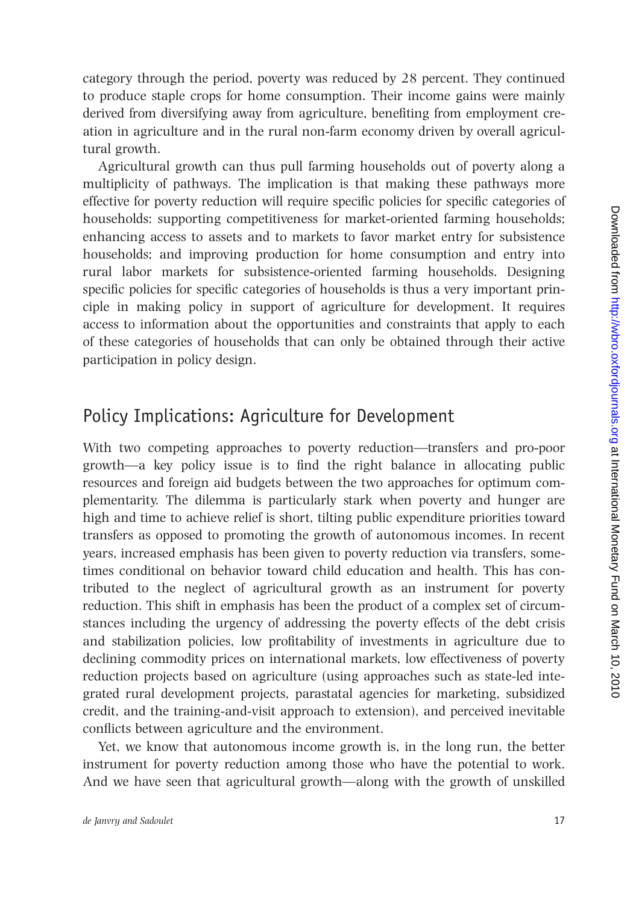category through the period, poverty was reduced by 28 percent. They continued to produce staple crops for home consumption. Their income gains were mainly derived from diversifying away from agriculture, benefiting from employment creation in agriculture and in the rural non-farm economy driven by overall agricultural growth.

Agricultural growth can thus pull farming households out of poverty along a multiplicity of pathways. The implication is that making these pathways more effective for poverty reduction will require specific policies for specific categories of households: supporting competitiveness for market-oriented farming households; enhancing access to assets and to markets to favor market entry for subsistence households; and improving production for home consumption and entry into rural labor markets for subsistence-oriented farming households. Designing specific policies for specific categories of households is thus a very important principle in making policy in support of agriculture for development. It requires access to information about the opportunities and constraints that apply to each of these categories of households that can only be obtained through their active participation in policy design.

## Policy Implications: Agriculture for Development

With two competing approaches to poverty reduction—transfers and pro-poor growth—a key policy issue is to find the right balance in allocating public resources and foreign aid budgets between the two approaches for optimum complementarity. The dilemma is particularly stark when poverty and hunger are high and time to achieve relief is short, tilting public expenditure priorities toward transfers as opposed to promoting the growth of autonomous incomes. In recent years, increased emphasis has been given to poverty reduction via transfers, sometimes conditional on behavior toward child education and health. This has contributed to the neglect of agricultural growth as an instrument for poverty reduction. This shift in emphasis has been the product of a complex set of circumstances including the urgency of addressing the poverty effects of the debt crisis and stabilization policies, low profitability of investments in agriculture due to declining commodity prices on international markets, low effectiveness of poverty reduction projects based on agriculture (using approaches such as state-led integrated rural development projects, parastatal agencies for marketing, subsidized credit, and the training-and-visit approach to extension), and perceived inevitable conflicts between agriculture and the environment.

Yet, we know that autonomous income growth is, in the long run, the better instrument for poverty reduction among those who have the potential to work. And we have seen that agricultural growth—along with the growth of unskilled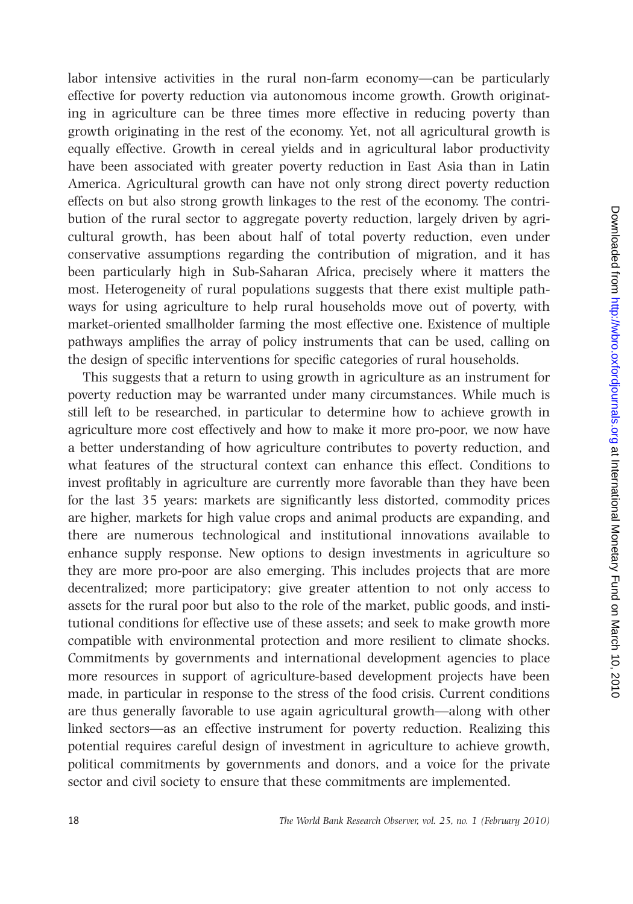labor intensive activities in the rural non-farm economy—can be particularly effective for poverty reduction via autonomous income growth. Growth originating in agriculture can be three times more effective in reducing poverty than growth originating in the rest of the economy. Yet, not all agricultural growth is equally effective. Growth in cereal yields and in agricultural labor productivity have been associated with greater poverty reduction in East Asia than in Latin America. Agricultural growth can have not only strong direct poverty reduction effects on but also strong growth linkages to the rest of the economy. The contribution of the rural sector to aggregate poverty reduction, largely driven by agricultural growth, has been about half of total poverty reduction, even under conservative assumptions regarding the contribution of migration, and it has been particularly high in Sub-Saharan Africa, precisely where it matters the most. Heterogeneity of rural populations suggests that there exist multiple pathways for using agriculture to help rural households move out of poverty, with market-oriented smallholder farming the most effective one. Existence of multiple pathways amplifies the array of policy instruments that can be used, calling on the design of specific interventions for specific categories of rural households.

This suggests that a return to using growth in agriculture as an instrument for poverty reduction may be warranted under many circumstances. While much is still left to be researched, in particular to determine how to achieve growth in agriculture more cost effectively and how to make it more pro-poor, we now have a better understanding of how agriculture contributes to poverty reduction, and what features of the structural context can enhance this effect. Conditions to invest profitably in agriculture are currently more favorable than they have been for the last 35 years: markets are significantly less distorted, commodity prices are higher, markets for high value crops and animal products are expanding, and there are numerous technological and institutional innovations available to enhance supply response. New options to design investments in agriculture so they are more pro-poor are also emerging. This includes projects that are more decentralized; more participatory; give greater attention to not only access to assets for the rural poor but also to the role of the market, public goods, and institutional conditions for effective use of these assets; and seek to make growth more compatible with environmental protection and more resilient to climate shocks. Commitments by governments and international development agencies to place more resources in support of agriculture-based development projects have been made, in particular in response to the stress of the food crisis. Current conditions are thus generally favorable to use again agricultural growth—along with other linked sectors—as an effective instrument for poverty reduction. Realizing this potential requires careful design of investment in agriculture to achieve growth, political commitments by governments and donors, and a voice for the private sector and civil society to ensure that these commitments are implemented.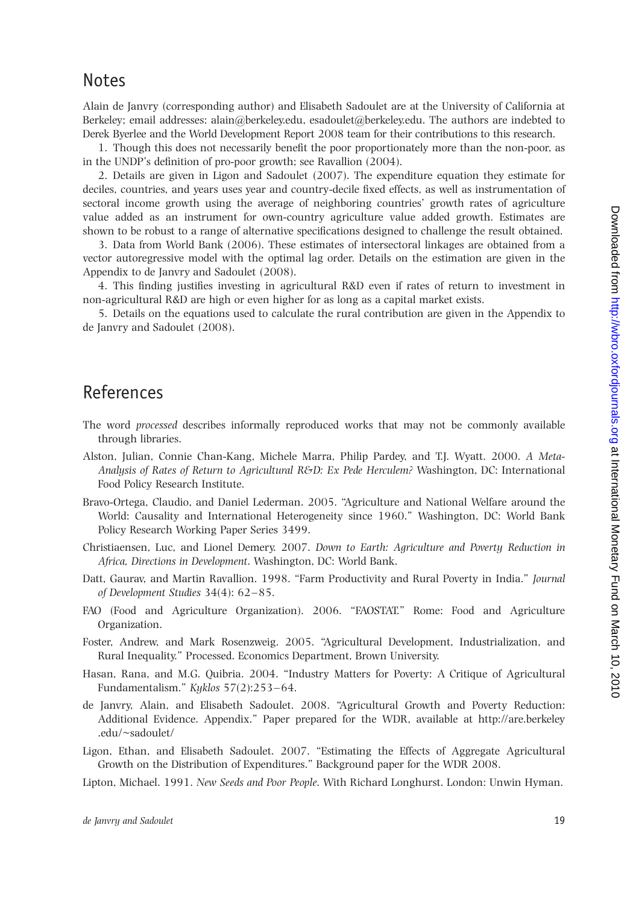#### Notes

Alain de Janvry (corresponding author) and Elisabeth Sadoulet are at the University of California at Berkeley; email addresses: alain@berkeley.edu, esadoulet@berkeley.edu. The authors are indebted to Derek Byerlee and the World Development Report 2008 team for their contributions to this research.

1. Though this does not necessarily benefit the poor proportionately more than the non-poor, as in the UNDP's definition of pro-poor growth; see Ravallion (2004).

2. Details are given in Ligon and Sadoulet (2007). The expenditure equation they estimate for deciles, countries, and years uses year and country-decile fixed effects, as well as instrumentation of sectoral income growth using the average of neighboring countries' growth rates of agriculture value added as an instrument for own-country agriculture value added growth. Estimates are shown to be robust to a range of alternative specifications designed to challenge the result obtained.

3. Data from World Bank (2006). These estimates of intersectoral linkages are obtained from a vector autoregressive model with the optimal lag order. Details on the estimation are given in the Appendix to de Janvry and Sadoulet (2008).

4. This finding justifies investing in agricultural R&D even if rates of return to investment in non-agricultural R&D are high or even higher for as long as a capital market exists.

5. Details on the equations used to calculate the rural contribution are given in the Appendix to de Janvry and Sadoulet (2008).

#### References

- The word processed describes informally reproduced works that may not be commonly available through libraries.
- Alston, Julian, Connie Chan-Kang, Michele Marra, Philip Pardey, and T.J. Wyatt. 2000. A Meta-Analysis of Rates of Return to Agricultural R&D: Ex Pede Herculem? Washington, DC: International Food Policy Research Institute.
- Bravo-Ortega, Claudio, and Daniel Lederman. 2005. "Agriculture and National Welfare around the World: Causality and International Heterogeneity since 1960." Washington, DC: World Bank Policy Research Working Paper Series 3499.
- Christiaensen, Luc, and Lionel Demery. 2007. Down to Earth: Agriculture and Poverty Reduction in Africa, Directions in Development. Washington, DC: World Bank.
- Datt, Gaurav, and Martin Ravallion. 1998. "Farm Productivity and Rural Poverty in India." Journal of Development Studies 34(4): 62–85.
- FAO (Food and Agriculture Organization). 2006. "FAOSTAT." Rome: Food and Agriculture Organization.
- Foster, Andrew, and Mark Rosenzweig. 2005. "Agricultural Development, Industrialization, and Rural Inequality." Processed. Economics Department, Brown University.
- Hasan, Rana, and M.G. Quibria. 2004. "Industry Matters for Poverty: A Critique of Agricultural Fundamentalism." Kyklos 57(2):253–64.
- de Janvry, Alain, and Elisabeth Sadoulet. 2008. "Agricultural Growth and Poverty Reduction: Additional Evidence. Appendix." Paper prepared for the WDR, available at http://are.berkeley .edu/~sadoulet/
- Ligon, Ethan, and Elisabeth Sadoulet. 2007. "Estimating the Effects of Aggregate Agricultural Growth on the Distribution of Expenditures." Background paper for the WDR 2008.
- Lipton, Michael. 1991. New Seeds and Poor People. With Richard Longhurst. London: Unwin Hyman.